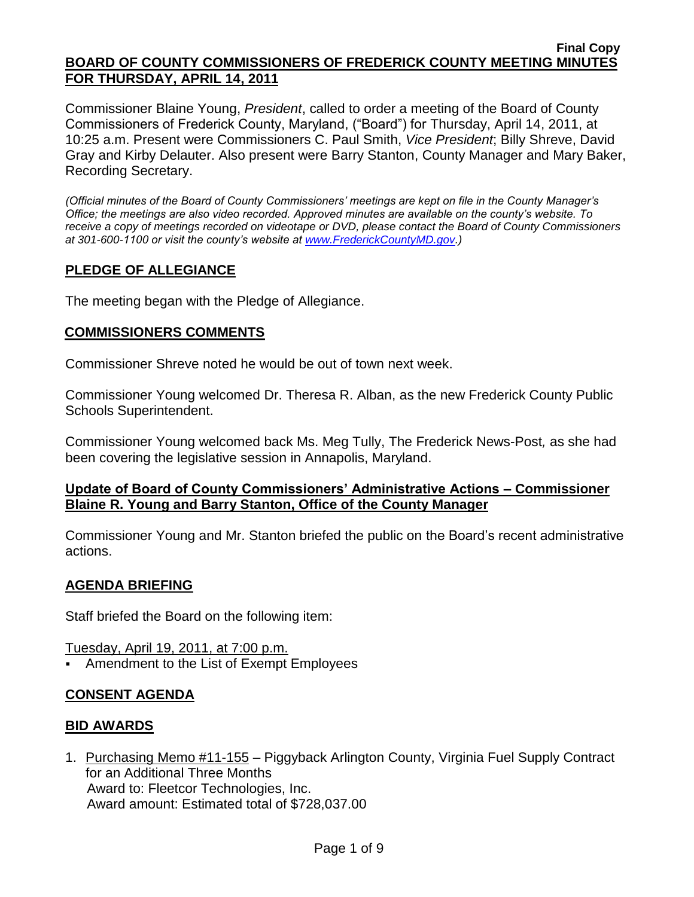#### **Final Copy BOARD OF COUNTY COMMISSIONERS OF FREDERICK COUNTY MEETING MINUTES FOR THURSDAY, APRIL 14, 2011**

Commissioner Blaine Young, *President*, called to order a meeting of the Board of County Commissioners of Frederick County, Maryland, ("Board") for Thursday, April 14, 2011, at 10:25 a.m. Present were Commissioners C. Paul Smith, *Vice President*; Billy Shreve, David Gray and Kirby Delauter. Also present were Barry Stanton, County Manager and Mary Baker, Recording Secretary.

*(Official minutes of the Board of County Commissioners' meetings are kept on file in the County Manager's Office; the meetings are also video recorded. Approved minutes are available on the county's website. To receive a copy of meetings recorded on videotape or DVD, please contact the Board of County Commissioners at 301-600-1100 or visit the county's website at [www.FrederickCountyMD.gov.](http://www.frederickcountymd.gov/))*

# **PLEDGE OF ALLEGIANCE**

The meeting began with the Pledge of Allegiance.

## **COMMISSIONERS COMMENTS**

Commissioner Shreve noted he would be out of town next week.

Commissioner Young welcomed Dr. Theresa R. Alban, as the new Frederick County Public Schools Superintendent.

Commissioner Young welcomed back Ms. Meg Tully, The Frederick News-Post*,* as she had been covering the legislative session in Annapolis, Maryland.

## **Update of Board of County Commissioners' Administrative Actions – Commissioner Blaine R. Young and Barry Stanton, Office of the County Manager**

Commissioner Young and Mr. Stanton briefed the public on the Board's recent administrative actions.

## **AGENDA BRIEFING**

Staff briefed the Board on the following item:

Tuesday, April 19, 2011, at 7:00 p.m.

Amendment to the List of Exempt Employees

# **CONSENT AGENDA**

## **BID AWARDS**

1. Purchasing Memo #11-155 – Piggyback Arlington County, Virginia Fuel Supply Contract for an Additional Three Months Award to: Fleetcor Technologies, Inc. Award amount: Estimated total of \$728,037.00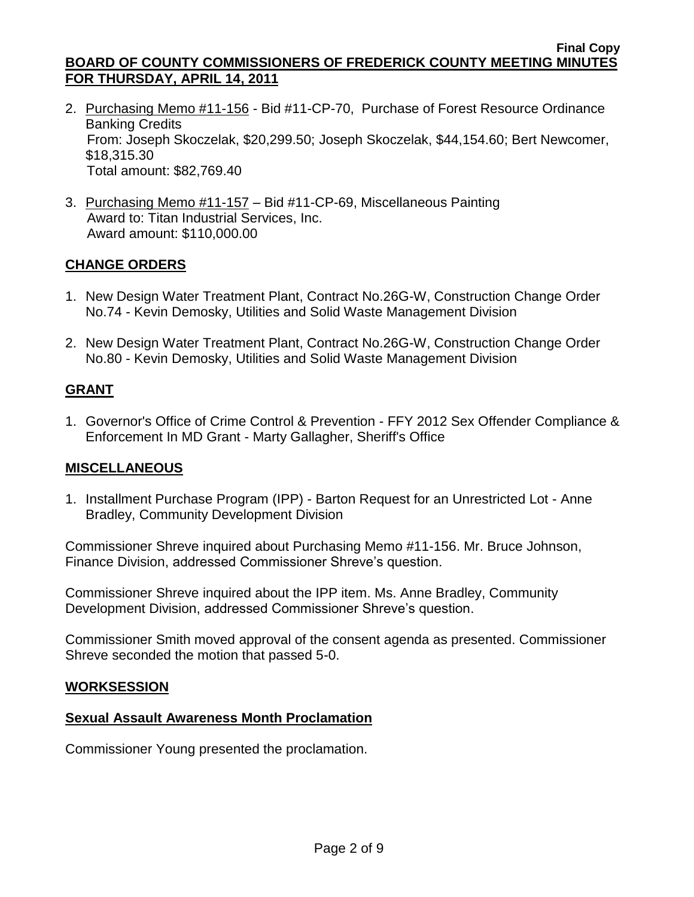- 2. Purchasing Memo #11-156 Bid #11-CP-70, Purchase of Forest Resource Ordinance Banking Credits From: Joseph Skoczelak, \$20,299.50; Joseph Skoczelak, \$44,154.60; Bert Newcomer, \$18,315.30 Total amount: \$82,769.40
- 3. Purchasing Memo #11-157 Bid #11-CP-69, Miscellaneous Painting Award to: Titan Industrial Services, Inc. Award amount: \$110,000.00

# **CHANGE ORDERS**

- 1. New Design Water Treatment Plant, Contract No.26G-W, Construction Change Order No.74 - Kevin Demosky, Utilities and Solid Waste Management Division
- 2. New Design Water Treatment Plant, Contract No.26G-W, Construction Change Order No.80 - Kevin Demosky, Utilities and Solid Waste Management Division

## **GRANT**

1. Governor's Office of Crime Control & Prevention - FFY 2012 Sex Offender Compliance & Enforcement In MD Grant - Marty Gallagher, Sheriff's Office

#### **MISCELLANEOUS**

1. Installment Purchase Program (IPP) - Barton Request for an Unrestricted Lot - Anne Bradley, Community Development Division

Commissioner Shreve inquired about Purchasing Memo #11-156. Mr. Bruce Johnson, Finance Division, addressed Commissioner Shreve's question.

Commissioner Shreve inquired about the IPP item. Ms. Anne Bradley, Community Development Division, addressed Commissioner Shreve's question.

Commissioner Smith moved approval of the consent agenda as presented. Commissioner Shreve seconded the motion that passed 5-0.

#### **WORKSESSION**

#### **Sexual Assault Awareness Month Proclamation**

Commissioner Young presented the proclamation.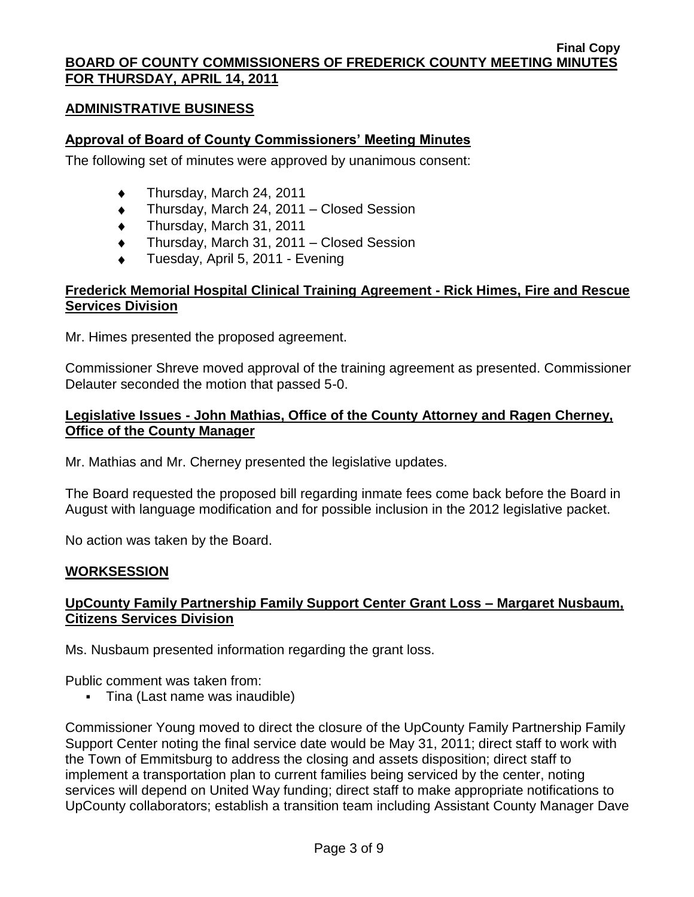## **ADMINISTRATIVE BUSINESS**

## **Approval of Board of County Commissioners' Meeting Minutes**

The following set of minutes were approved by unanimous consent:

- Thursday, March 24, 2011
- Thursday, March 24, 2011 Closed Session  $\blacklozenge$
- $\ddot{\bullet}$ Thursday, March 31, 2011
- Thursday, March 31, 2011 Closed Session  $\ddot{\bullet}$
- Tuesday, April 5, 2011 Evening

## **Frederick Memorial Hospital Clinical Training Agreement - Rick Himes, Fire and Rescue Services Division**

Mr. Himes presented the proposed agreement.

Commissioner Shreve moved approval of the training agreement as presented. Commissioner Delauter seconded the motion that passed 5-0.

# **Legislative Issues - John Mathias, Office of the County Attorney and Ragen Cherney, Office of the County Manager**

Mr. Mathias and Mr. Cherney presented the legislative updates.

The Board requested the proposed bill regarding inmate fees come back before the Board in August with language modification and for possible inclusion in the 2012 legislative packet.

No action was taken by the Board.

#### **WORKSESSION**

# **UpCounty Family Partnership Family Support Center Grant Loss – Margaret Nusbaum, Citizens Services Division**

Ms. Nusbaum presented information regarding the grant loss.

Public comment was taken from:

Tina (Last name was inaudible)

Commissioner Young moved to direct the closure of the UpCounty Family Partnership Family Support Center noting the final service date would be May 31, 2011; direct staff to work with the Town of Emmitsburg to address the closing and assets disposition; direct staff to implement a transportation plan to current families being serviced by the center, noting services will depend on United Way funding; direct staff to make appropriate notifications to UpCounty collaborators; establish a transition team including Assistant County Manager Dave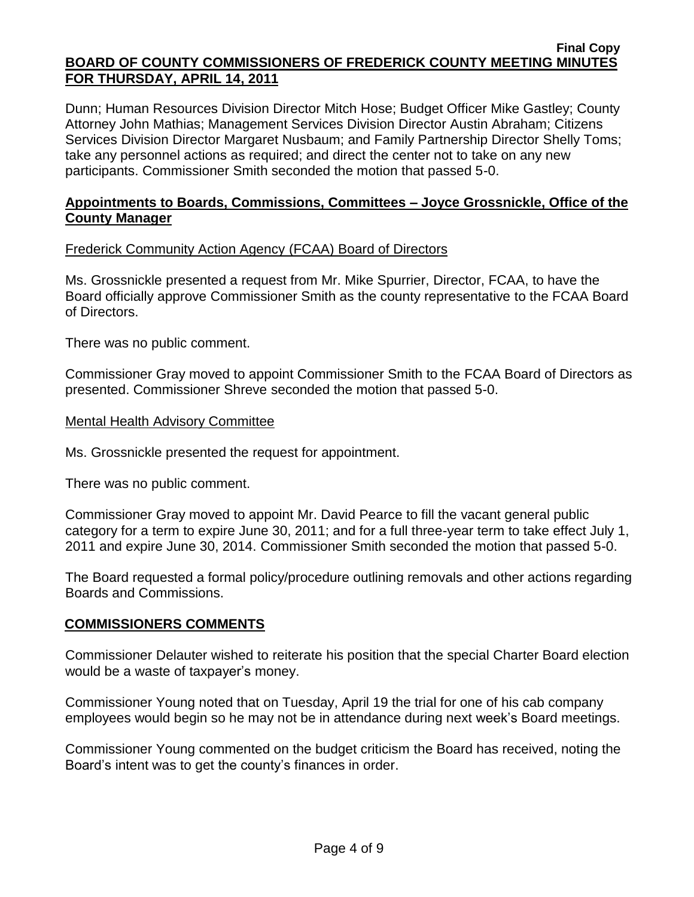#### **Final Copy BOARD OF COUNTY COMMISSIONERS OF FREDERICK COUNTY MEETING MINUTES FOR THURSDAY, APRIL 14, 2011**

Dunn; Human Resources Division Director Mitch Hose; Budget Officer Mike Gastley; County Attorney John Mathias; Management Services Division Director Austin Abraham; Citizens Services Division Director Margaret Nusbaum; and Family Partnership Director Shelly Toms; take any personnel actions as required; and direct the center not to take on any new participants. Commissioner Smith seconded the motion that passed 5-0.

## **Appointments to Boards, Commissions, Committees – Joyce Grossnickle, Office of the County Manager**

## Frederick Community Action Agency (FCAA) Board of Directors

Ms. Grossnickle presented a request from Mr. Mike Spurrier, Director, FCAA, to have the Board officially approve Commissioner Smith as the county representative to the FCAA Board of Directors.

There was no public comment.

Commissioner Gray moved to appoint Commissioner Smith to the FCAA Board of Directors as presented. Commissioner Shreve seconded the motion that passed 5-0.

#### Mental Health Advisory Committee

Ms. Grossnickle presented the request for appointment.

There was no public comment.

Commissioner Gray moved to appoint Mr. David Pearce to fill the vacant general public category for a term to expire June 30, 2011; and for a full three-year term to take effect July 1, 2011 and expire June 30, 2014. Commissioner Smith seconded the motion that passed 5-0.

The Board requested a formal policy/procedure outlining removals and other actions regarding Boards and Commissions.

## **COMMISSIONERS COMMENTS**

Commissioner Delauter wished to reiterate his position that the special Charter Board election would be a waste of taxpayer's money.

Commissioner Young noted that on Tuesday, April 19 the trial for one of his cab company employees would begin so he may not be in attendance during next week's Board meetings.

Commissioner Young commented on the budget criticism the Board has received, noting the Board's intent was to get the county's finances in order.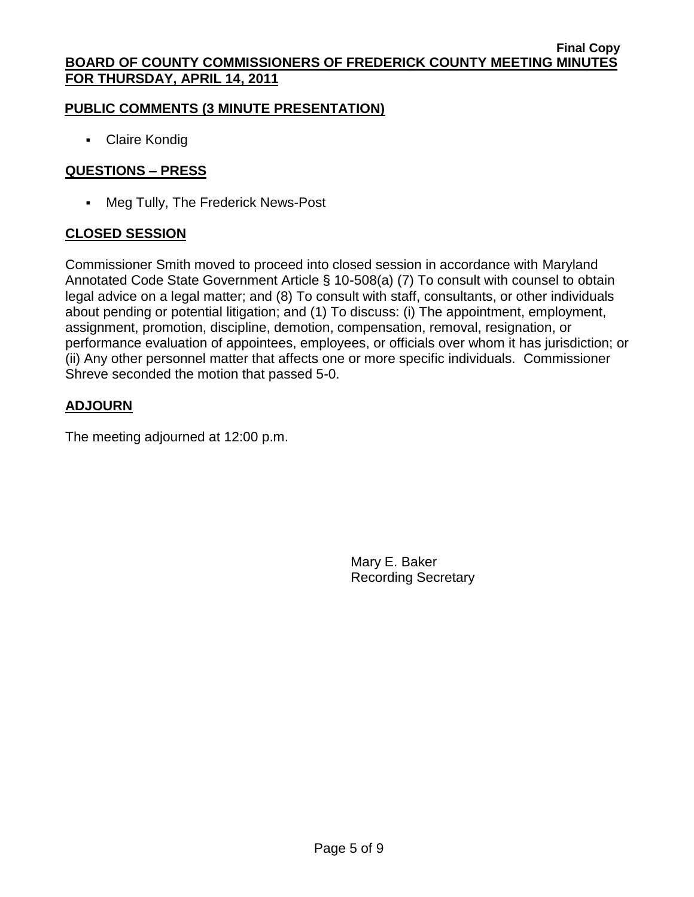# **PUBLIC COMMENTS (3 MINUTE PRESENTATION)**

Claire Kondig

# **QUESTIONS – PRESS**

Meg Tully, The Frederick News-Post

# **CLOSED SESSION**

Commissioner Smith moved to proceed into closed session in accordance with Maryland Annotated Code State Government Article § 10-508(a) (7) To consult with counsel to obtain legal advice on a legal matter; and (8) To consult with staff, consultants, or other individuals about pending or potential litigation; and (1) To discuss: (i) The appointment, employment, assignment, promotion, discipline, demotion, compensation, removal, resignation, or performance evaluation of appointees, employees, or officials over whom it has jurisdiction; or (ii) Any other personnel matter that affects one or more specific individuals. Commissioner Shreve seconded the motion that passed 5-0.

# **ADJOURN**

The meeting adjourned at 12:00 p.m.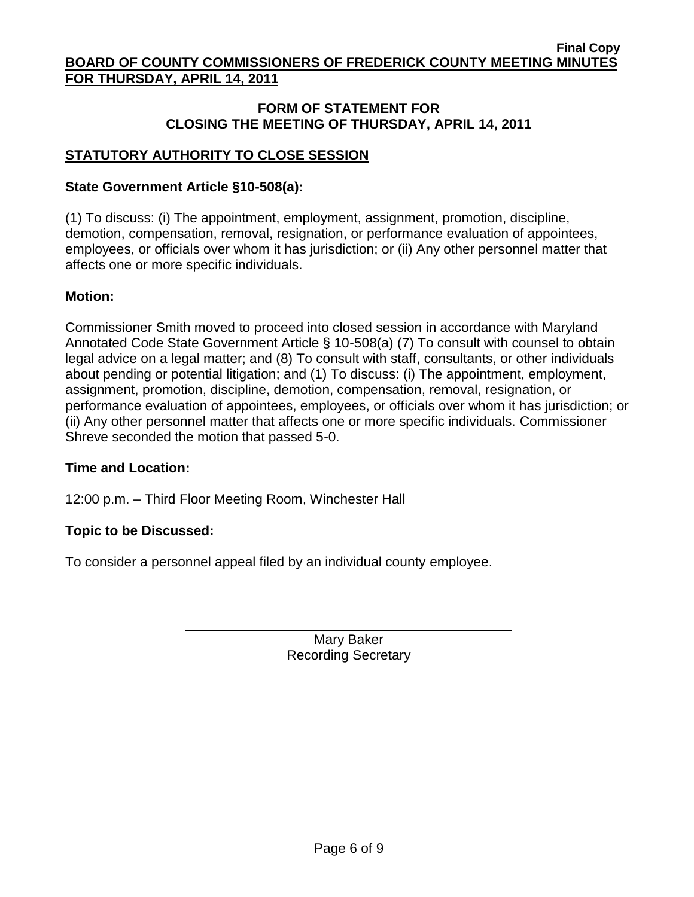# **FORM OF STATEMENT FOR CLOSING THE MEETING OF THURSDAY, APRIL 14, 2011**

# **STATUTORY AUTHORITY TO CLOSE SESSION**

# **State Government Article §10-508(a):**

(1) To discuss: (i) The appointment, employment, assignment, promotion, discipline, demotion, compensation, removal, resignation, or performance evaluation of appointees, employees, or officials over whom it has jurisdiction; or (ii) Any other personnel matter that affects one or more specific individuals.

# **Motion:**

Commissioner Smith moved to proceed into closed session in accordance with Maryland Annotated Code State Government Article § 10-508(a) (7) To consult with counsel to obtain legal advice on a legal matter; and (8) To consult with staff, consultants, or other individuals about pending or potential litigation; and (1) To discuss: (i) The appointment, employment, assignment, promotion, discipline, demotion, compensation, removal, resignation, or performance evaluation of appointees, employees, or officials over whom it has jurisdiction; or (ii) Any other personnel matter that affects one or more specific individuals. Commissioner Shreve seconded the motion that passed 5-0.

## **Time and Location:**

12:00 p.m. – Third Floor Meeting Room, Winchester Hall

# **Topic to be Discussed:**

To consider a personnel appeal filed by an individual county employee.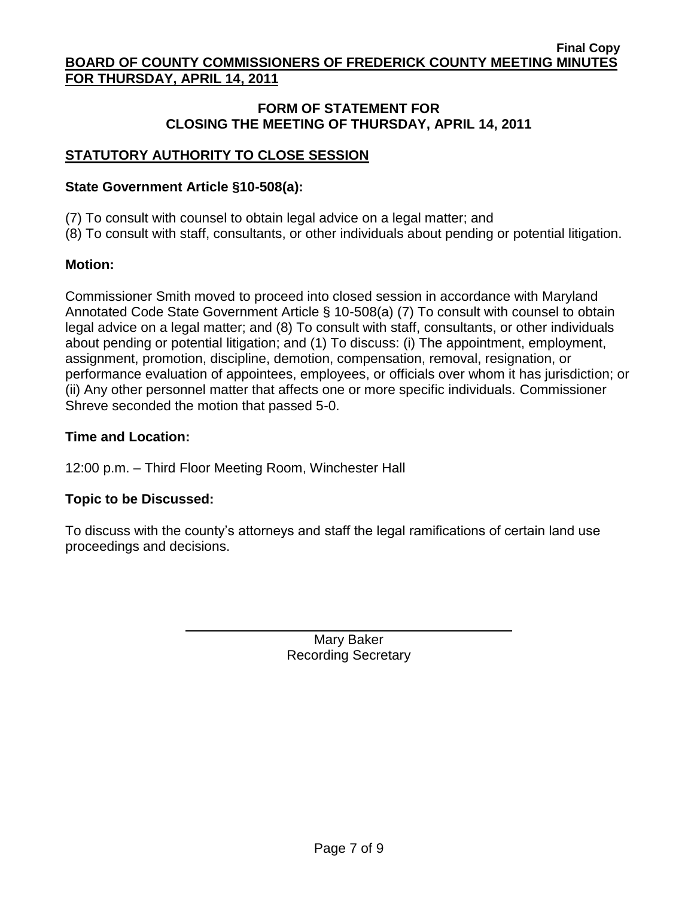## **FORM OF STATEMENT FOR CLOSING THE MEETING OF THURSDAY, APRIL 14, 2011**

# **STATUTORY AUTHORITY TO CLOSE SESSION**

## **State Government Article §10-508(a):**

(7) To consult with counsel to obtain legal advice on a legal matter; and

(8) To consult with staff, consultants, or other individuals about pending or potential litigation.

## **Motion:**

Commissioner Smith moved to proceed into closed session in accordance with Maryland Annotated Code State Government Article § 10-508(a) (7) To consult with counsel to obtain legal advice on a legal matter; and (8) To consult with staff, consultants, or other individuals about pending or potential litigation; and (1) To discuss: (i) The appointment, employment, assignment, promotion, discipline, demotion, compensation, removal, resignation, or performance evaluation of appointees, employees, or officials over whom it has jurisdiction; or (ii) Any other personnel matter that affects one or more specific individuals. Commissioner Shreve seconded the motion that passed 5-0.

# **Time and Location:**

12:00 p.m. – Third Floor Meeting Room, Winchester Hall

## **Topic to be Discussed:**

To discuss with the county's attorneys and staff the legal ramifications of certain land use proceedings and decisions.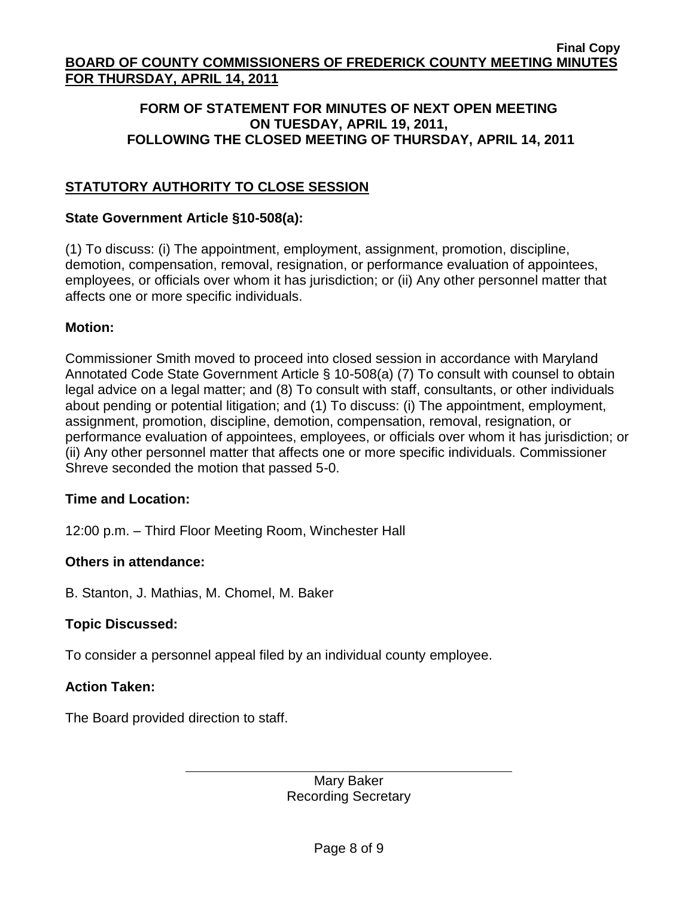# **FORM OF STATEMENT FOR MINUTES OF NEXT OPEN MEETING ON TUESDAY, APRIL 19, 2011, FOLLOWING THE CLOSED MEETING OF THURSDAY, APRIL 14, 2011**

# **STATUTORY AUTHORITY TO CLOSE SESSION**

## **State Government Article §10-508(a):**

(1) To discuss: (i) The appointment, employment, assignment, promotion, discipline, demotion, compensation, removal, resignation, or performance evaluation of appointees, employees, or officials over whom it has jurisdiction; or (ii) Any other personnel matter that affects one or more specific individuals.

## **Motion:**

Commissioner Smith moved to proceed into closed session in accordance with Maryland Annotated Code State Government Article § 10-508(a) (7) To consult with counsel to obtain legal advice on a legal matter; and (8) To consult with staff, consultants, or other individuals about pending or potential litigation; and (1) To discuss: (i) The appointment, employment, assignment, promotion, discipline, demotion, compensation, removal, resignation, or performance evaluation of appointees, employees, or officials over whom it has jurisdiction; or (ii) Any other personnel matter that affects one or more specific individuals. Commissioner Shreve seconded the motion that passed 5-0.

## **Time and Location:**

12:00 p.m. – Third Floor Meeting Room, Winchester Hall

## **Others in attendance:**

B. Stanton, J. Mathias, M. Chomel, M. Baker

# **Topic Discussed:**

To consider a personnel appeal filed by an individual county employee.

## **Action Taken:**

The Board provided direction to staff.